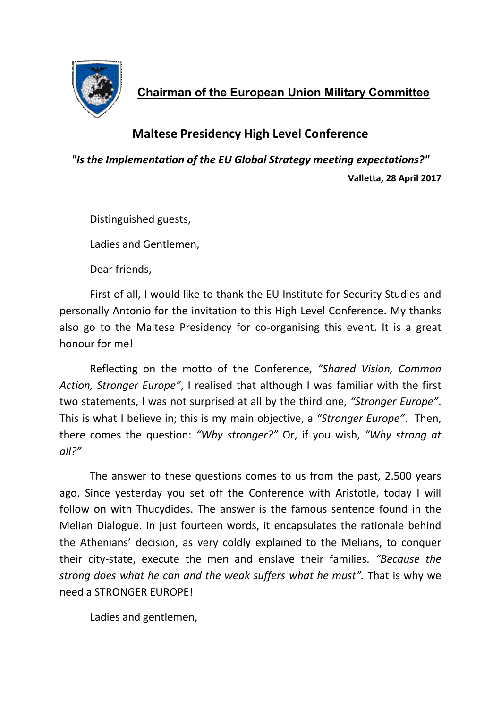

 **Chairman of the European Union Military Committee**

## **Maltese Presidency High Level Conference**

*"Is the Implementation of the EU Global Strategy meeting expectations?"* **Valletta, 28 April 2017**

Distinguished guests,

Ladies and Gentlemen,

Dear friends,

First of all, I would like to thank the EU Institute for Security Studies and personally Antonio for the invitation to this High Level Conference. My thanks also go to the Maltese Presidency for co-organising this event. It is a great honour for me!

Reflecting on the motto of the Conference, *"Shared Vision, Common Action, Stronger Europe"*, I realised that although I was familiar with the first two statements, I was not surprised at all by the third one, *"Stronger Europe"*. This is what I believe in; this is my main objective, a *"Stronger Europe"*. Then, there comes the question: *"Why stronger?"* Or, if you wish, *"Why strong at all?"*

The answer to these questions comes to us from the past, 2.500 years ago. Since yesterday you set off the Conference with Aristotle, today I will follow on with Thucydides. The answer is the famous sentence found in the Melian Dialogue. In just fourteen words, it encapsulates the rationale behind the Athenians' decision, as very coldly explained to the Melians, to conquer their city-state, execute the men and enslave their families. *"Because the strong does what he can and the weak suffers what he must".* That is why we need a STRONGER EUROPE!

Ladies and gentlemen,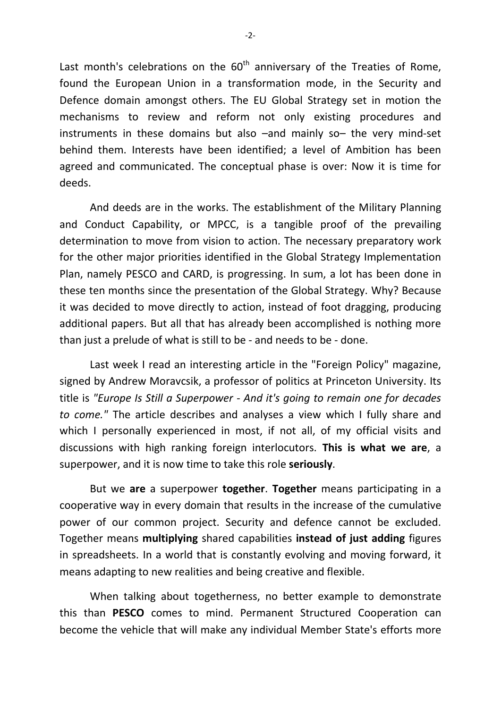Last month's celebrations on the  $60<sup>th</sup>$  anniversary of the Treaties of Rome, found the European Union in a transformation mode, in the Security and Defence domain amongst others. The EU Global Strategy set in motion the mechanisms to review and reform not only existing procedures and instruments in these domains but also –and mainly so– the very mind-set behind them. Interests have been identified; a level of Ambition has been agreed and communicated. The conceptual phase is over: Now it is time for deeds.

And deeds are in the works. The establishment of the Military Planning and Conduct Capability, or MPCC, is a tangible proof of the prevailing determination to move from vision to action. The necessary preparatory work for the other major priorities identified in the Global Strategy Implementation Plan, namely PESCO and CARD, is progressing. In sum, a lot has been done in these ten months since the presentation of the Global Strategy. Why? Because it was decided to move directly to action, instead of foot dragging, producing additional papers. But all that has already been accomplished is nothing more than just a prelude of what is still to be - and needs to be - done.

Last week I read an interesting article in the "Foreign Policy" magazine, signed by Andrew Moravcsik, a professor of politics at Princeton University. Its title is *"Europe Is Still a Superpower - And it's going to remain one for decades to come."* The article describes and analyses a view which I fully share and which I personally experienced in most, if not all, of my official visits and discussions with high ranking foreign interlocutors. **This is what we are**, a superpower, and it is now time to take this role **seriously**.

But we **are** a superpower **together**. **Together** means participating in a cooperative way in every domain that results in the increase of the cumulative power of our common project. Security and defence cannot be excluded. Together means **multiplying** shared capabilities **instead of just adding** figures in spreadsheets. In a world that is constantly evolving and moving forward, it means adapting to new realities and being creative and flexible.

When talking about togetherness, no better example to demonstrate this than **PESCO** comes to mind. Permanent Structured Cooperation can become the vehicle that will make any individual Member State's efforts more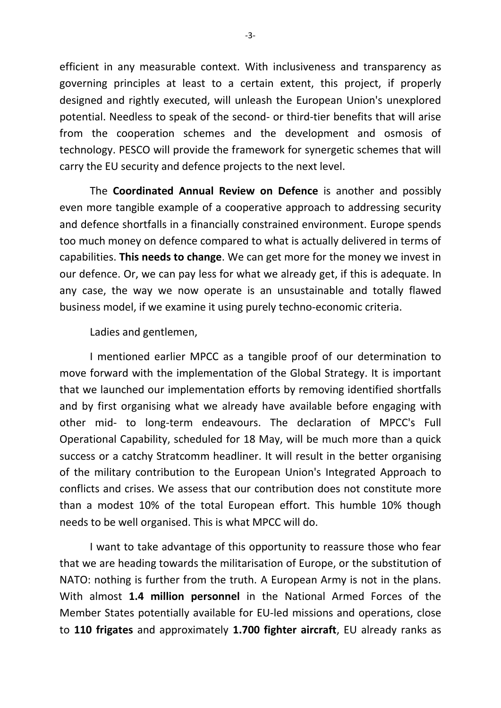efficient in any measurable context. With inclusiveness and transparency as governing principles at least to a certain extent, this project, if properly designed and rightly executed, will unleash the European Union's unexplored potential. Needless to speak of the second- or third-tier benefits that will arise from the cooperation schemes and the development and osmosis of technology. PESCO will provide the framework for synergetic schemes that will carry the EU security and defence projects to the next level.

The **Coordinated Annual Review on Defence** is another and possibly even more tangible example of a cooperative approach to addressing security and defence shortfalls in a financially constrained environment. Europe spends too much money on defence compared to what is actually delivered in terms of capabilities. **This needs to change**. We can get more for the money we invest in our defence. Or, we can pay less for what we already get, if this is adequate. In any case, the way we now operate is an unsustainable and totally flawed business model, if we examine it using purely techno-economic criteria.

Ladies and gentlemen,

I mentioned earlier MPCC as a tangible proof of our determination to move forward with the implementation of the Global Strategy. It is important that we launched our implementation efforts by removing identified shortfalls and by first organising what we already have available before engaging with other mid- to long-term endeavours. The declaration of MPCC's Full Operational Capability, scheduled for 18 May, will be much more than a quick success or a catchy Stratcomm headliner. It will result in the better organising of the military contribution to the European Union's Integrated Approach to conflicts and crises. We assess that our contribution does not constitute more than a modest 10% of the total European effort. This humble 10% though needs to be well organised. This is what MPCC will do.

I want to take advantage of this opportunity to reassure those who fear that we are heading towards the militarisation of Europe, or the substitution of NATO: nothing is further from the truth. A European Army is not in the plans. With almost **1.4 million personnel** in the National Armed Forces of the Member States potentially available for EU-led missions and operations, close to **110 frigates** and approximately **1.700 fighter aircraft**, EU already ranks as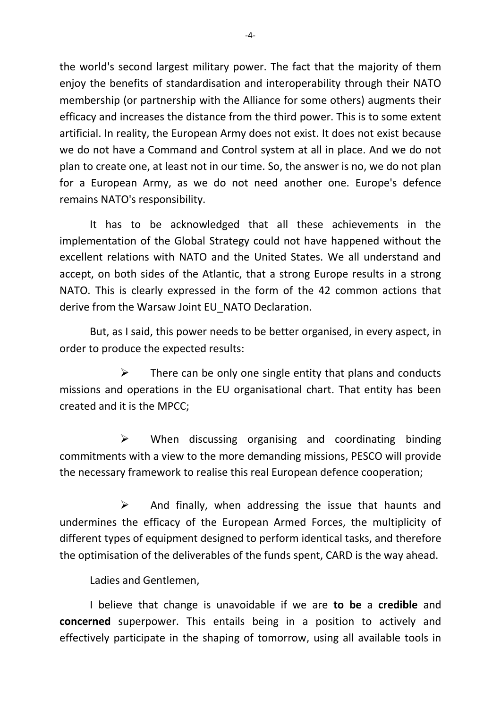the world's second largest military power. The fact that the majority of them enjoy the benefits of standardisation and interoperability through their NATO membership (or partnership with the Alliance for some others) augments their efficacy and increases the distance from the third power. This is to some extent artificial. In reality, the European Army does not exist. It does not exist because we do not have a Command and Control system at all in place. And we do not plan to create one, at least not in our time. So, the answer is no, we do not plan for a European Army, as we do not need another one. Europe's defence remains NATO's responsibility.

It has to be acknowledged that all these achievements in the implementation of the Global Strategy could not have happened without the excellent relations with NATO and the United States. We all understand and accept, on both sides of the Atlantic, that a strong Europe results in a strong NATO. This is clearly expressed in the form of the 42 common actions that derive from the Warsaw Joint EU NATO Declaration.

But, as I said, this power needs to be better organised, in every aspect, in order to produce the expected results:

 There can be only one single entity that plans and conducts missions and operations in the EU organisational chart. That entity has been created and it is the MPCC;

 $\triangleright$  When discussing organising and coordinating binding commitments with a view to the more demanding missions, PESCO will provide the necessary framework to realise this real European defence cooperation;

 $\triangleright$  And finally, when addressing the issue that haunts and undermines the efficacy of the European Armed Forces, the multiplicity of different types of equipment designed to perform identical tasks, and therefore the optimisation of the deliverables of the funds spent, CARD is the way ahead.

Ladies and Gentlemen,

I believe that change is unavoidable if we are **to be** a **credible** and **concerned** superpower. This entails being in a position to actively and effectively participate in the shaping of tomorrow, using all available tools in